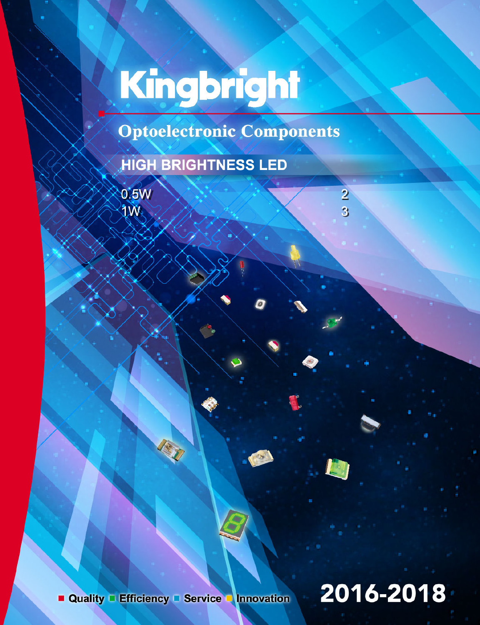# Kingbright

**Optoelectronic Components** 

## **HIGH BRIGHTNESS LED**

 $0.5W$ 1W

# 2016-2018

 $\overline{2}$ 

3

Quality Efficiency Service Innovation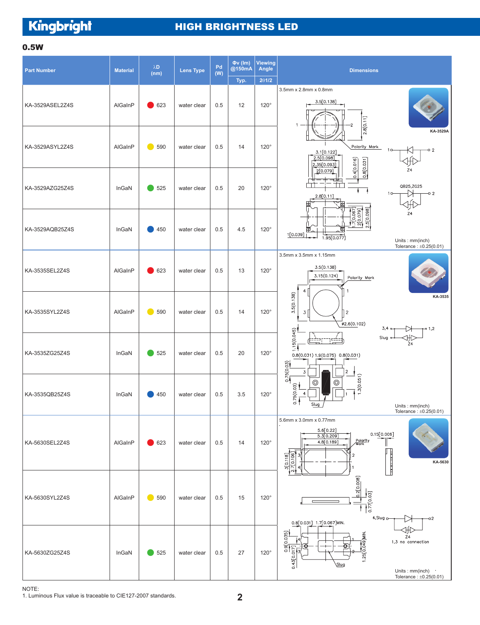Kingbright

#### HIGH BRIGHTNESS LED

#### 0.5W

| <b>Part Number</b> | <b>Material</b> | $\lambda\mathbf{D}$<br>(nm) | <b>Lens Type</b> | Pd<br>(W) | $Qv$ (Im)<br>@150mA | Viewing<br>Angle | <b>Dimensions</b>                                                                                                                                                              |
|--------------------|-----------------|-----------------------------|------------------|-----------|---------------------|------------------|--------------------------------------------------------------------------------------------------------------------------------------------------------------------------------|
|                    |                 |                             |                  |           | Typ.                | 201/2            |                                                                                                                                                                                |
| KA-3529ASEL2Z4S    | AlGaInP         | 623                         | water clear      | 0.5       | 12                  | $120^\circ$      | 3.5mm x 2.8mm x 0.8mm<br>3.5[0.138]<br>2.8[0.11]                                                                                                                               |
| KA-3529ASYL2Z4S    | AlGaInP         | 590                         | water clear      | 0.5       | 14                  | $120^\circ$      | KA-3529A<br>Polarity Mark<br>$-0.2$<br>3.1[0.122]<br>2.5[0.098]<br>2.35[0.093]                                                                                                 |
| KA-3529AZG25Z4S    | InGaN           | 525                         | water clear      | 0.5       | 20                  | $120^\circ$      | 0.8[0.031]<br>0.4[0.016]<br>Z4<br>2[0.079]<br>QB25,ZG25<br>Ŋ<br>$-0.2$<br>1 <sub>O</sub><br>2.8[0.11]                                                                          |
| KA-3529AQB25Z4S    | InGaN           | 450                         | water clear      | 0.5       | 4.5                 | $120^\circ$      | $\frac{1}{2}$ [0.067]<br>$\frac{2}{2}$ [0.079]<br>2.5[0.098]<br>Z <sub>4</sub><br>ℼ<br>22<br>1[0.039]<br>1.95[0.077]<br>Units: mm(inch)<br>Tolerance: $\pm 0.25(0.01)$         |
| KA-3535SEL2Z4S     | AlGaInP         | $\bigcirc$ 623              | water clear      | 0.5       | 13                  | $120^\circ$      | 3.5mm x 3.5mm x 1.15mm<br>3.5(0.138)<br>3.15(0.124)<br>Polarity Mark<br>4                                                                                                      |
| KA-3535SYL2Z4S     | AlGaInP         | 590                         | water clear      | 0.5       | 14                  | $120^\circ$      | 3.5(0.138)<br>KA-3535<br>$\overline{3}$<br>$\sqrt{2}$<br>Ø2.6(0.102)<br>3,4<br>0.1,2                                                                                           |
| KA-3535ZG25Z4S     | InGaN           | 525                         | water clear      | 0.5       | 20                  | $120^\circ$      | 1.15(0.045)<br>班<br>Slug<br>마<br>각대<br>$\overline{24}$<br>0.8(0.031) 1.9(0.075) 0.8(0.031)<br>0.75(0.03)<br>$\overline{3}$<br>2                                                |
| KA-3535QB25Z4S     | InGaN           | 450                         | water clear      | 0.5       | 3.5                 | $120^\circ$      | 1.3(0.051)<br>⊚<br>$\circledcirc$<br>0.75(0.03)<br>$\overline{4}$<br>Slug<br>Units: mm(inch)<br>Tolerance: $\pm 0.25(0.01)$                                                    |
| KA-5630SEL2Z4S     | AlGaInP         | 623                         | water clear      | 0.5       | 14                  | $120^\circ$      | 5.6mm x 3.0mm x 0.77mm<br>5.6[0.22]<br>0.15[0.006]<br>5.3[0.209]<br>Polarity<br>Mark<br>4.8[0.189]<br>$\frac{3[0.118]}{7[0.106]}$<br>$\mathfrak{p}$<br> <br> <br> -<br>KA-5630 |
| KA-5630SYL2Z4S     | AlGaInP         | 590<br>n i                  | water clear      | 0.5       | 15                  | $120^\circ$      | 0.2[0.008]<br>$\frac{1}{0.77[0.03]}$<br>4.Slug o<br>-02                                                                                                                        |
| KA-5630ZG25Z4S     | InGaN           | 525                         | water clear      | 0.5       | 27                  | $120^\circ$      | 0.8[0.031] 1.7[0.067]MIN.<br>0.9[0.035]<br>$1.25[0.049]$ MIN.<br>Z4<br>1,3 no connection<br>0.43[0.017]<br>Slug<br>Units: mm(inch)<br>Tolerance: $\pm 0.25(0.01)$              |

NOTE:

1. Luminous Flux value is traceable to CIE127-2007 standards.